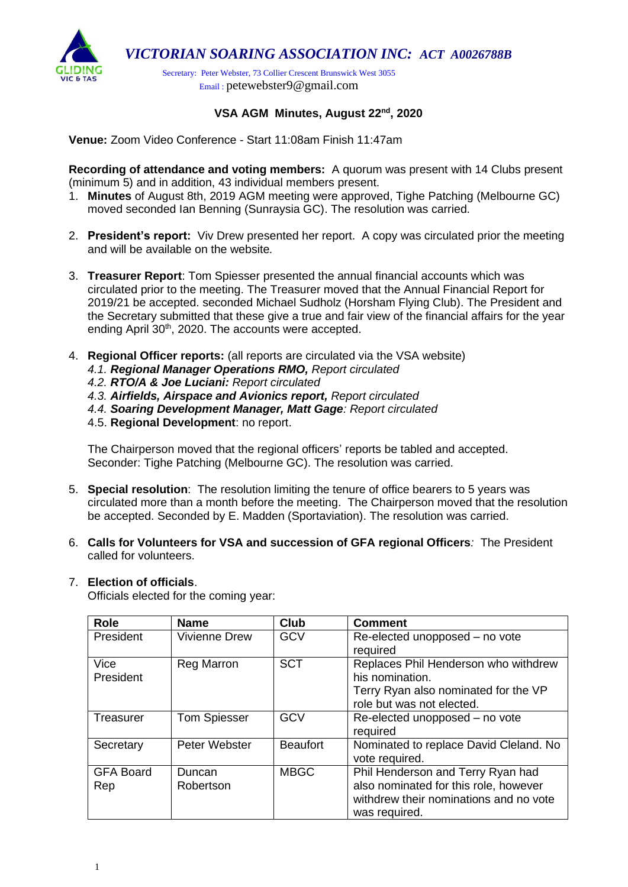

## **VSA AGM Minutes, August 22nd, 2020**

**Venue:** Zoom Video Conference - Start 11:08am Finish 11:47am

**Recording of attendance and voting members:** A quorum was present with 14 Clubs present (minimum 5) and in addition, 43 individual members present.

- 1. **Minutes** of August 8th, 2019 AGM meeting were approved, Tighe Patching (Melbourne GC) moved seconded Ian Benning (Sunraysia GC). The resolution was carried.
- 2. **President's report:** Viv Drew presented her report. A copy was circulated prior the meeting and will be available on the website*.*
- 3. **Treasurer Report**: Tom Spiesser presented the annual financial accounts which was circulated prior to the meeting. The Treasurer moved that the Annual Financial Report for 2019/21 be accepted. seconded Michael Sudholz (Horsham Flying Club). The President and the Secretary submitted that these give a true and fair view of the financial affairs for the year ending April 30<sup>th</sup>, 2020. The accounts were accepted.
- 4. **Regional Officer reports:** (all reports are circulated via the VSA website)
	- *4.1. Regional Manager Operations RMO, Report circulated*
	- *4.2. RTO/A & Joe Luciani: Report circulated*
	- *4.3. Airfields, Airspace and Avionics report, Report circulated*
	- *4.4. Soaring Development Manager, Matt Gage: Report circulated*
	- 4.5. **Regional Development**: no report.

The Chairperson moved that the regional officers' reports be tabled and accepted. Seconder: Tighe Patching (Melbourne GC). The resolution was carried.

- 5. **Special resolution**: The resolution limiting the tenure of office bearers to 5 years was circulated more than a month before the meeting. The Chairperson moved that the resolution be accepted. Seconded by E. Madden (Sportaviation). The resolution was carried.
- 6. **Calls for Volunteers for VSA and succession of GFA regional Officers***:* The President called for volunteers.

## 7. **Election of officials**.

Officials elected for the coming year:

| <b>Role</b>      | <b>Name</b>          | <b>Club</b>     | <b>Comment</b>                         |
|------------------|----------------------|-----------------|----------------------------------------|
| President        | <b>Vivienne Drew</b> | <b>GCV</b>      | Re-elected unopposed - no vote         |
|                  |                      |                 | required                               |
| Vice             | Reg Marron           | <b>SCT</b>      | Replaces Phil Henderson who withdrew   |
| President        |                      |                 | his nomination.                        |
|                  |                      |                 | Terry Ryan also nominated for the VP   |
|                  |                      |                 | role but was not elected.              |
| Treasurer        | <b>Tom Spiesser</b>  | <b>GCV</b>      | Re-elected unopposed - no vote         |
|                  |                      |                 | required                               |
| Secretary        | Peter Webster        | <b>Beaufort</b> | Nominated to replace David Cleland. No |
|                  |                      |                 | vote required.                         |
| <b>GFA Board</b> | Duncan               | <b>MBGC</b>     | Phil Henderson and Terry Ryan had      |
| Rep              | Robertson            |                 | also nominated for this role, however  |
|                  |                      |                 | withdrew their nominations and no vote |
|                  |                      |                 | was required.                          |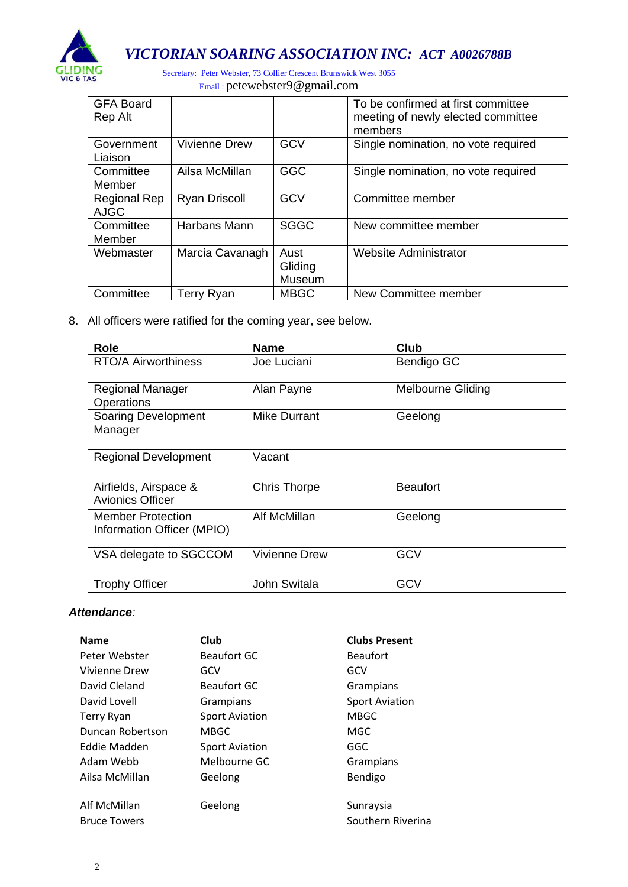

*VICTORIAN SOARING ASSOCIATION INC: ACT A0026788B*

Secretary: Peter Webster, 73 Collier Crescent Brunswick West 3055 Email : [petewebster9@gmail.com](mailto:petewebster9@gmail.com)

| <b>GFA Board</b><br>Rep Alt |                      |                           | To be confirmed at first committee<br>meeting of newly elected committee<br>members |
|-----------------------------|----------------------|---------------------------|-------------------------------------------------------------------------------------|
| Government<br>Liaison       | <b>Vivienne Drew</b> | <b>GCV</b>                | Single nomination, no vote required                                                 |
| Committee<br>Member         | Ailsa McMillan       | <b>GGC</b>                | Single nomination, no vote required                                                 |
| Regional Rep<br><b>AJGC</b> | <b>Ryan Driscoll</b> | GCV                       | Committee member                                                                    |
| Committee<br>Member         | Harbans Mann         | <b>SGGC</b>               | New committee member                                                                |
| Webmaster                   | Marcia Cavanagh      | Aust<br>Gliding<br>Museum | Website Administrator                                                               |
| Committee                   | Terry Ryan           | <b>MBGC</b>               | New Committee member                                                                |

8. All officers were ratified for the coming year, see below.

| <b>Role</b>                                            | <b>Name</b>          | <b>Club</b>              |
|--------------------------------------------------------|----------------------|--------------------------|
| <b>RTO/A Airworthiness</b>                             | Joe Luciani          | Bendigo GC               |
| <b>Regional Manager</b><br>Operations                  | Alan Payne           | <b>Melbourne Gliding</b> |
| <b>Soaring Development</b><br>Manager                  | <b>Mike Durrant</b>  | Geelong                  |
| <b>Regional Development</b>                            | Vacant               |                          |
| Airfields, Airspace &<br><b>Avionics Officer</b>       | <b>Chris Thorpe</b>  | <b>Beaufort</b>          |
| <b>Member Protection</b><br>Information Officer (MPIO) | Alf McMillan         | Geelong                  |
| VSA delegate to SGCCOM                                 | <b>Vivienne Drew</b> | <b>GCV</b>               |
| <b>Trophy Officer</b>                                  | John Switala         | <b>GCV</b>               |

## *Attendance:*

| <b>Name</b>         | Club                  | <b>Clubs Present</b>  |
|---------------------|-----------------------|-----------------------|
| Peter Webster       | <b>Beaufort GC</b>    | <b>Beaufort</b>       |
| Vivienne Drew       | GCV                   | GCV                   |
| David Cleland       | <b>Beaufort GC</b>    | Grampians             |
| David Lovell        | Grampians             | <b>Sport Aviation</b> |
| <b>Terry Ryan</b>   | <b>Sport Aviation</b> | <b>MBGC</b>           |
| Duncan Robertson    | <b>MBGC</b>           | MGC                   |
| Eddie Madden        | <b>Sport Aviation</b> | GGC                   |
| Adam Webb           | Melbourne GC          | Grampians             |
| Ailsa McMillan      | Geelong               | Bendigo               |
| Alf McMillan        | Geelong               | Sunraysia             |
|                     |                       |                       |
| <b>Bruce Towers</b> |                       | Southern Riverina     |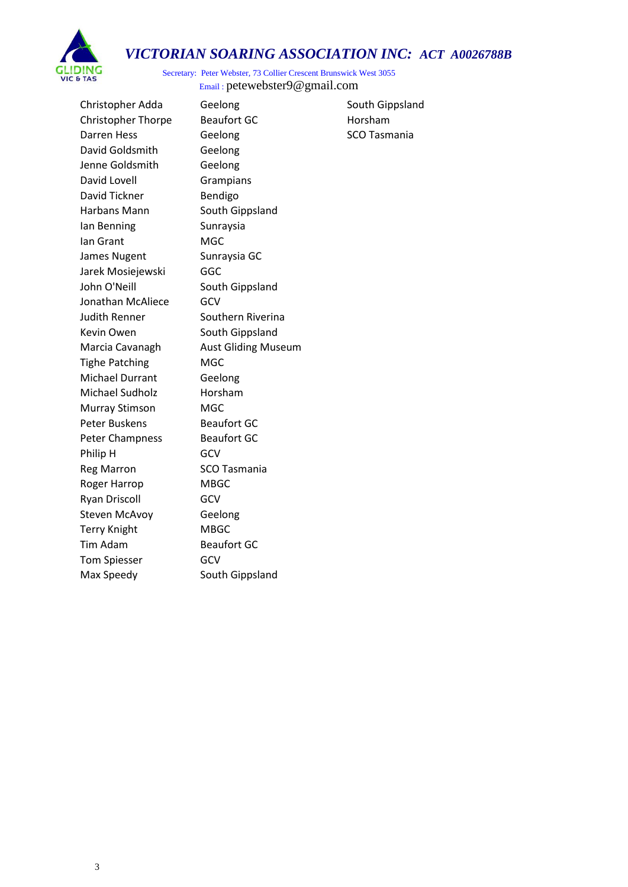



Secretary: Peter Webster, 73 Collier Crescent Brunswick West 3055 Email : [petewebster9@gmail.com](mailto:petewebster9@gmail.com)

Christopher Adda Geelong South Gippsland Christopher Thorpe Beaufort GC Horsham Darren Hess Geelong SCO Tasmania David Goldsmith Geelong Jenne Goldsmith Geelong David Lovell Grampians David Tickner Bendigo Harbans Mann South Gippsland Ian Benning Sunraysia Ian Grant MGC James Nugent Sunraysia GC Jarek Mosiejewski GGC John O'Neill South Gippsland Jonathan McAliece GCV Judith Renner Southern Riverina Kevin Owen South Gippsland Marcia Cavanagh Aust Gliding Museum Tighe Patching MGC Michael Durrant Geelong Michael Sudholz Horsham Murray Stimson MGC Peter Buskens Beaufort GC Peter Champness Beaufort GC Philip H GCV Reg Marron SCO Tasmania Roger Harrop MBGC Ryan Driscoll **GCV** Steven McAvoy **Geelong** Terry Knight MBGC Tim Adam Beaufort GC Tom Spiesser **GCV** Max Speedy South Gippsland